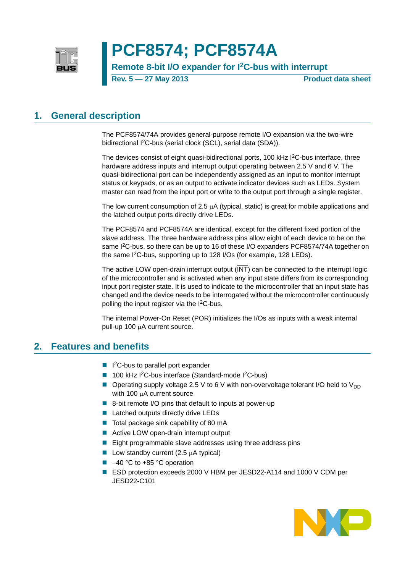

# **PCF8574; PCF8574A**

**Remote 8-bit I/O expander for I2C-bus with interrupt**

**Rev. 5 — 27 May 2013 Product data sheet**

### <span id="page-0-1"></span>**1. General description**

The PCF8574/74A provides general-purpose remote I/O expansion via the two-wire bidirectional I<sup>2</sup>C-bus (serial clock (SCL), serial data (SDA)).

The devices consist of eight quasi-bidirectional ports, 100 kHz I<sup>2</sup>C-bus interface, three hardware address inputs and interrupt output operating between 2.5 V and 6 V. The quasi-bidirectional port can be independently assigned as an input to monitor interrupt status or keypads, or as an output to activate indicator devices such as LEDs. System master can read from the input port or write to the output port through a single register.

The low current consumption of  $2.5 \mu A$  (typical, static) is great for mobile applications and the latched output ports directly drive LEDs.

The PCF8574 and PCF8574A are identical, except for the different fixed portion of the slave address. The three hardware address pins allow eight of each device to be on the same I<sup>2</sup>C-bus, so there can be up to 16 of these I/O expanders PCF8574/74A together on the same I2C-bus, supporting up to 128 I/Os (for example, 128 LEDs).

The active LOW open-drain interrupt output  $(\overline{\mathsf{INT}})$  can be connected to the interrupt logic of the microcontroller and is activated when any input state differs from its corresponding input port register state. It is used to indicate to the microcontroller that an input state has changed and the device needs to be interrogated without the microcontroller continuously polling the input register via the I<sup>2</sup>C-bus.

The internal Power-On Reset (POR) initializes the I/Os as inputs with a weak internal pull-up 100 µA current source.

### <span id="page-0-0"></span>**2. Features and benefits**

- I<sup>2</sup>C-bus to parallel port expander
- $\blacksquare$  100 kHz I<sup>2</sup>C-bus interface (Standard-mode I<sup>2</sup>C-bus)
- **Operating supply voltage 2.5 V to 6 V with non-overvoltage tolerant I/O held to V<sub>DD</sub>** with 100  $\mu$ A current source
- 8-bit remote I/O pins that default to inputs at power-up
- Latched outputs directly drive LEDs
- $\blacksquare$  Total package sink capability of 80 mA
- Active LOW open-drain interrupt output
- Eight programmable slave addresses using three address pins
- Low standby current  $(2.5 \mu A$  typical)
- $\blacksquare$  -40 °C to +85 °C operation
- ESD protection exceeds 2000 V HBM per JESD22-A114 and 1000 V CDM per JESD22-C101

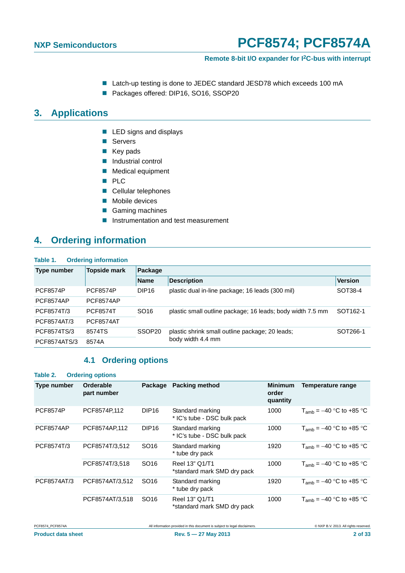#### **Remote 8-bit I/O expander for I2C-bus with interrupt**

- Latch-up testing is done to JEDEC standard JESD78 which exceeds 100 mA
- Packages offered: DIP16, SO16, SSOP20

### <span id="page-1-2"></span>**3. Applications**

- **LED** signs and displays
- Servers
- $\blacksquare$  Key pads
- **Industrial control**
- **Medical equipment**
- **PLC**
- Cellular telephones
- **Mobile devices**
- Gaming machines
- **Instrumentation and test measurement**

### <span id="page-1-3"></span>**4. Ordering information**

<span id="page-1-1"></span>

| Table 1.         | <b>Ordering information</b> |                    |                                                            |                      |  |  |  |  |  |  |  |
|------------------|-----------------------------|--------------------|------------------------------------------------------------|----------------------|--|--|--|--|--|--|--|
| Type number      | <b>Topside mark</b>         | Package            |                                                            |                      |  |  |  |  |  |  |  |
|                  |                             | <b>Name</b>        | <b>Description</b>                                         | <b>Version</b>       |  |  |  |  |  |  |  |
| <b>PCF8574P</b>  | <b>PCF8574P</b>             | DIP <sub>16</sub>  | plastic dual in-line package; 16 leads (300 mil)           | SOT38-4              |  |  |  |  |  |  |  |
| <b>PCF8574AP</b> | <b>PCF8574AP</b>            |                    |                                                            |                      |  |  |  |  |  |  |  |
| PCF8574T/3       | <b>PCF8574T</b>             | SO <sub>16</sub>   | plastic small outline package; 16 leads; body width 7.5 mm | SOT <sub>162-1</sub> |  |  |  |  |  |  |  |
| PCF8574AT/3      | <b>PCF8574AT</b>            |                    |                                                            |                      |  |  |  |  |  |  |  |
| PCF8574TS/3      | 8574TS                      | SSOP <sub>20</sub> | plastic shrink small outline package; 20 leads;            | SOT266-1             |  |  |  |  |  |  |  |
| PCF8574ATS/3     | 8574A                       |                    | body width 4.4 mm                                          |                      |  |  |  |  |  |  |  |

### **4.1 Ordering options**

<span id="page-1-0"></span>

| Table 2.           | <b>Ordering options</b>  |                   |                                                 |                                     |                              |
|--------------------|--------------------------|-------------------|-------------------------------------------------|-------------------------------------|------------------------------|
| <b>Type number</b> | Orderable<br>part number | Package           | Packing method                                  | <b>Minimum</b><br>order<br>quantity | Temperature range            |
| <b>PCF8574P</b>    | PCF8574P.112             | DIP <sub>16</sub> | Standard marking<br>* IC's tube - DSC bulk pack | 1000                                | $T_{amb} = -40$ °C to +85 °C |
| PCF8574AP          | PCF8574AP.112            | DIP <sub>16</sub> | Standard marking<br>* IC's tube - DSC bulk pack | 1000                                | $T_{amb} = -40$ °C to +85 °C |
| PCF8574T/3         | PCF8574T/3,512           | SO <sub>16</sub>  | Standard marking<br>* tube dry pack             | 1920                                | $T_{amb} = -40$ °C to +85 °C |
|                    | PCF8574T/3,518           | SO <sub>16</sub>  | Reel 13" Q1/T1<br>*standard mark SMD dry pack   | 1000                                | $T_{amb} = -40$ °C to +85 °C |
| PCF8574AT/3        | PCF8574AT/3,512          | SO <sub>16</sub>  | Standard marking<br>* tube dry pack             | 1920                                | $T_{amb} = -40$ °C to +85 °C |
|                    | PCF8574AT/3,518          | SO <sub>16</sub>  | Reel 13" Q1/T1<br>*standard mark SMD dry pack   | 1000                                | $T_{amb} = -40$ °C to +85 °C |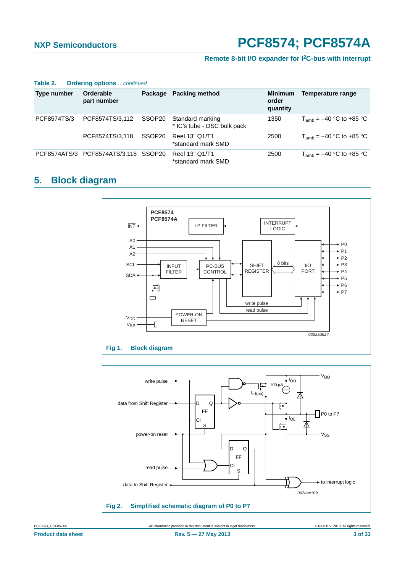#### **Remote 8-bit I/O expander for I2C-bus with interrupt**

| Table 2. |  |  | <b>Ordering options</b> continued |
|----------|--|--|-----------------------------------|
|----------|--|--|-----------------------------------|

| Type number | Orderable<br>part number             | Package | <b>Packing method</b>                           | <b>Minimum</b><br>order<br>quantity | Temperature range            |
|-------------|--------------------------------------|---------|-------------------------------------------------|-------------------------------------|------------------------------|
| PCF8574TS/3 | PCF8574TS/3,112                      | SSOP20  | Standard marking<br>* IC's tube - DSC bulk pack | 1350                                | $T_{amb} = -40$ °C to +85 °C |
|             | PCF8574TS/3,118                      | SSOP20  | Reel 13" Q1/T1<br>*standard mark SMD            | 2500                                | $T_{amb} = -40$ °C to +85 °C |
|             | PCF8574ATS/3 PCF8574ATS/3,118 SSOP20 |         | Reel 13" Q1/T1<br>*standard mark SMD            | 2500                                | $T_{amb}$ = -40 °C to +85 °C |

## <span id="page-2-1"></span>**5. Block diagram**



<span id="page-2-0"></span>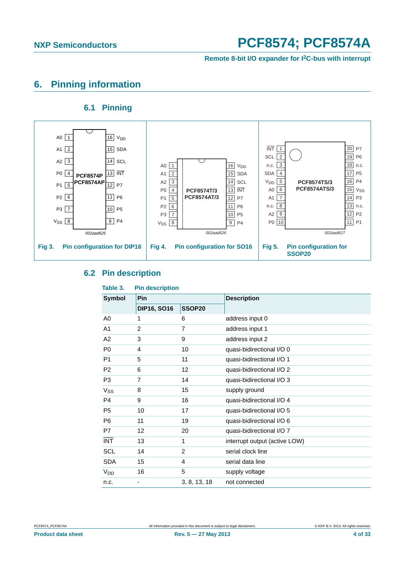**Remote 8-bit I/O expander for I2C-bus with interrupt**

### <span id="page-3-4"></span>**6. Pinning information**

### **6.1 Pinning**

<span id="page-3-5"></span>

#### <span id="page-3-0"></span>**6.2 Pin description**

<span id="page-3-3"></span><span id="page-3-2"></span><span id="page-3-1"></span>

| Table 3.              | <b>Pin description</b> |              |                               |
|-----------------------|------------------------|--------------|-------------------------------|
| <b>Symbol</b>         | Pin                    |              | <b>Description</b>            |
|                       | <b>DIP16, SO16</b>     | SSOP20       |                               |
| A <sub>0</sub>        | 1                      | 6            | address input 0               |
| A <sub>1</sub>        | $\overline{2}$         | 7            | address input 1               |
| A2                    | 3                      | 9            | address input 2               |
| P <sub>0</sub>        | 4                      | 10           | quasi-bidirectional I/O 0     |
| P <sub>1</sub>        | 5                      | 11           | quasi-bidirectional I/O 1     |
| P <sub>2</sub>        | 6                      | 12           | quasi-bidirectional I/O 2     |
| P <sub>3</sub>        | 7                      | 14           | quasi-bidirectional I/O 3     |
| <b>V<sub>ss</sub></b> | 8                      | 15           | supply ground                 |
| P <sub>4</sub>        | 9                      | 16           | quasi-bidirectional I/O 4     |
| P <sub>5</sub>        | 10                     | 17           | quasi-bidirectional I/O 5     |
| P <sub>6</sub>        | 11                     | 19           | quasi-bidirectional I/O 6     |
| P7                    | 12                     | 20           | quasi-bidirectional I/O 7     |
| <b>INT</b>            | 13                     | 1            | interrupt output (active LOW) |
| <b>SCL</b>            | 14                     | 2            | serial clock line             |
| <b>SDA</b>            | 15                     | 4            | serial data line              |
| <b>V<sub>DD</sub></b> | 16                     | 5            | supply voltage                |
| n.c.                  |                        | 3, 8, 13, 18 | not connected                 |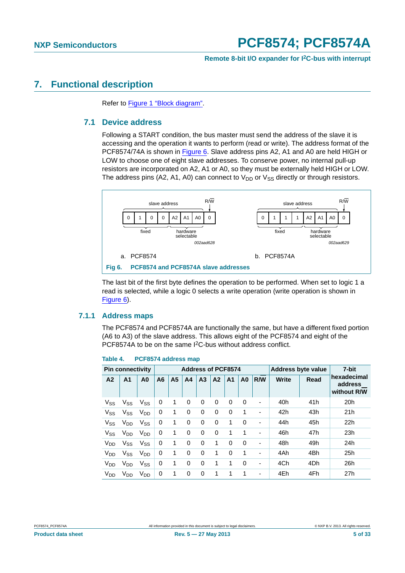#### **Remote 8-bit I/O expander for I2C-bus with interrupt**

### <span id="page-4-2"></span><span id="page-4-1"></span>**7. Functional description**

Refer to [Figure 1 "Block diagram".](#page-2-0)

#### **7.1 Device address**

Following a START condition, the bus master must send the address of the slave it is accessing and the operation it wants to perform (read or write). The address format of the PCF8574/74A is shown in [Figure 6](#page-4-0). Slave address pins A2, A1 and A0 are held HIGH or LOW to choose one of eight slave addresses. To conserve power, no internal pull-up resistors are incorporated on A2, A1 or A0, so they must be externally held HIGH or LOW. The address pins (A2, A1, A0) can connect to  $V_{DD}$  or  $V_{SS}$  directly or through resistors.



<span id="page-4-0"></span>The last bit of the first byte defines the operation to be performed. When set to logic 1 a read is selected, while a logic 0 selects a write operation (write operation is shown in [Figure 6\)](#page-4-0).

#### <span id="page-4-4"></span>**7.1.1 Address maps**

The PCF8574 and PCF8574A are functionally the same, but have a different fixed portion (A6 to A3) of the slave address. This allows eight of the PCF8574 and eight of the PCF8574A to be on the same I2C-bus without address conflict.

<span id="page-4-3"></span>

| PCF8574 address map |
|---------------------|
|                     |

|                 | <b>Pin connectivity</b> |                       |                |                |                |                | <b>Address of PCF8574</b> |                | <b>Address byte value</b> |     |              | 7-bit |                                       |
|-----------------|-------------------------|-----------------------|----------------|----------------|----------------|----------------|---------------------------|----------------|---------------------------|-----|--------------|-------|---------------------------------------|
| A <sub>2</sub>  | A <sub>1</sub>          | A <sub>0</sub>        | A <sub>6</sub> | A <sub>5</sub> | A <sub>4</sub> | A <sub>3</sub> | A <sub>2</sub>            | A <sub>1</sub> | A <sub>0</sub>            | R/W | <b>Write</b> | Read  | hexadecimal<br>address<br>without R/W |
| $V_{SS}$        | $V_{SS}$                | $V_{SS}$              | 0              | 1              | $\Omega$       | 0              | 0                         | 0              | 0                         | -   | 40h          | 41h   | 20h                                   |
| $V_{SS}$        | $V_{SS}$                | V <sub>DD</sub>       | 0              | 1              | 0              | 0              | 0                         | 0              | 1                         | ٠   | 42h          | 43h   | 21h                                   |
| $V_{SS}$        | $V_{DD}$                | $V_{SS}$              | 0              | 1              | 0              | 0              | 0                         | 1              | 0                         | ٠   | 44h          | 45h   | 22h                                   |
| $V_{SS}$        | V <sub>DD</sub>         | <b>V<sub>DD</sub></b> | 0              | 1              | 0              | 0              | 0                         | 1              | 1                         | -   | 46h          | 47h   | 23h                                   |
| V <sub>DD</sub> | $V_{SS}$                | V <sub>SS</sub>       | 0              | 1              | $\Omega$       | 0              | 1                         | 0              | 0                         | ٠   | 48h          | 49h   | 24h                                   |
| V <sub>DD</sub> | $V_{SS}$                | <b>V<sub>DD</sub></b> | 0              | 1              | $\Omega$       | $\Omega$       | 1                         | $\Omega$       | 1                         | ٠   | 4Ah          | 4Bh   | 25h                                   |
| V <sub>DD</sub> | V <sub>DD</sub>         | <b>V<sub>SS</sub></b> | 0              | 1              | $\Omega$       | $\Omega$       | 1                         | 1              | $\Omega$                  | -   | 4Ch          | 4Dh   | 26h                                   |
| V <sub>DD</sub> | $V_{DD}$                | <b>V<sub>DD</sub></b> | 0              | 1              | 0              | 0              | 1                         |                | 1                         | -   | 4Eh          | 4Fh   | 27h                                   |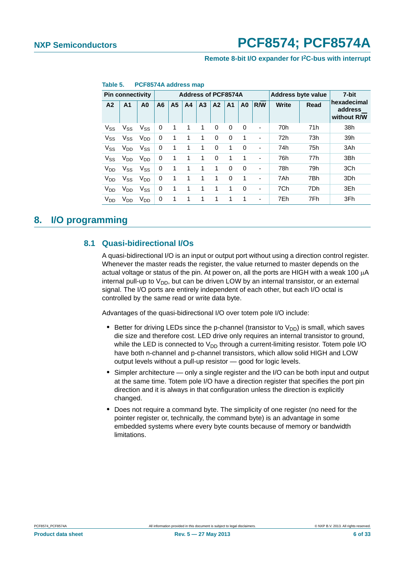#### **Remote 8-bit I/O expander for I2C-bus with interrupt**

|                       | <b>Pin connectivity</b> |                       |                |                | <b>Address of PCF8574A</b><br><b>Address byte value</b> |                | 7-bit          |                |                |                          |              |      |                                       |
|-----------------------|-------------------------|-----------------------|----------------|----------------|---------------------------------------------------------|----------------|----------------|----------------|----------------|--------------------------|--------------|------|---------------------------------------|
| A <sub>2</sub>        | A1                      | A <sub>0</sub>        | A <sub>6</sub> | A <sub>5</sub> | A <sub>4</sub>                                          | A <sub>3</sub> | A <sub>2</sub> | A <sub>1</sub> | A <sub>0</sub> | R/W                      | <b>Write</b> | Read | hexadecimal<br>address<br>without R/W |
| $V_{SS}$              | $V_{SS}$                | <b>V<sub>SS</sub></b> | 0              | -1             | $\overline{1}$                                          | 1              | 0              | 0              | 0              | $\overline{\phantom{a}}$ | 70h          | 71h  | 38h                                   |
| $V_{SS}$              | $V_{SS}$                | <b>V<sub>DD</sub></b> | 0              | $\mathbf{1}$   | 1                                                       | 1              | 0              | 0              | 1              | -                        | 72h          | 73h  | 39h                                   |
| $V_{SS}$              | $V_{DD}$                | $V_{SS}$              | 0              | 1              | $\mathbf 1$                                             | 1              | 0              | 1              | 0              | ٠                        | 74h          | 75h  | 3Ah                                   |
| $V_{SS}$              | $V_{DD}$                | V <sub>DD</sub>       | 0              | $\mathbf 1$    | 1                                                       | 1              | 0              | 1              | 1              | ٠                        | 76h          | 77h  | 3Bh                                   |
| V <sub>DD</sub>       | $V_{SS}$                | $V_{SS}$              | 0              | 1              | $\mathbf 1$                                             | 1              | 1              | 0              | 0              | $\overline{\phantom{a}}$ | 78h          | 79h  | 3Ch                                   |
| <b>V<sub>DD</sub></b> | $V_{SS}$                | V <sub>DD</sub>       | 0              | 1              | 1                                                       | 1              | 1              | 0              | 1              | -                        | 7Ah          | 7Bh  | 3Dh                                   |
| <b>V<sub>DD</sub></b> | $V_{DD}$                | $V_{SS}$              | 0              | 1              | 1                                                       | 1              | 1              | 1              | 0              | $\overline{\phantom{a}}$ | 7Ch          | 7Dh  | 3Eh                                   |
| V <sub>DD</sub>       | $V_{DD}$                | $V_{DD}$              | 0              | 1              | 1                                                       | 1              | 1              | 1              | 1              | ٠                        | 7Eh          | 7Fh  | 3Fh                                   |

#### <span id="page-5-1"></span>**Table 5. PCF8574A address map**

### <span id="page-5-2"></span><span id="page-5-0"></span>**8. I/O programming**

#### **8.1 Quasi-bidirectional I/Os**

A quasi-bidirectional I/O is an input or output port without using a direction control register. Whenever the master reads the register, the value returned to master depends on the actual voltage or status of the pin. At power on, all the ports are HIGH with a weak 100  $\mu$ A internal pull-up to  $V_{DD}$ , but can be driven LOW by an internal transistor, or an external signal. The I/O ports are entirely independent of each other, but each I/O octal is controlled by the same read or write data byte.

Advantages of the quasi-bidirectional I/O over totem pole I/O include:

- Better for driving LEDs since the p-channel (transistor to  $V_{DD}$ ) is small, which saves die size and therefore cost. LED drive only requires an internal transistor to ground, while the LED is connected to  $V_{DD}$  through a current-limiting resistor. Totem pole I/O have both n-channel and p-channel transistors, which allow solid HIGH and LOW output levels without a pull-up resistor — good for logic levels.
- **•** Simpler architecture only a single register and the I/O can be both input and output at the same time. Totem pole I/O have a direction register that specifies the port pin direction and it is always in that configuration unless the direction is explicitly changed.
- **•** Does not require a command byte. The simplicity of one register (no need for the pointer register or, technically, the command byte) is an advantage in some embedded systems where every byte counts because of memory or bandwidth limitations.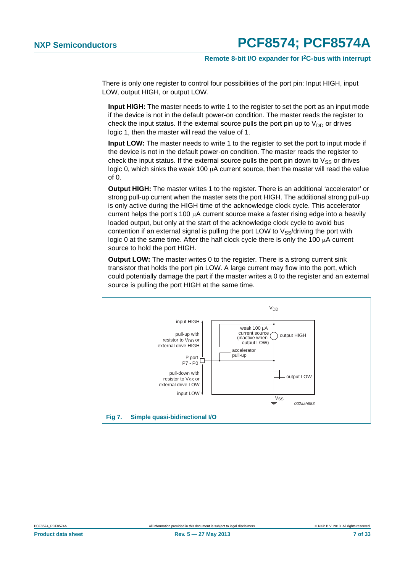There is only one register to control four possibilities of the port pin: Input HIGH, input LOW, output HIGH, or output LOW.

**Input HIGH:** The master needs to write 1 to the register to set the port as an input mode if the device is not in the default power-on condition. The master reads the register to check the input status. If the external source pulls the port pin up to  $V_{DD}$  or drives logic 1, then the master will read the value of 1.

**Input LOW:** The master needs to write 1 to the register to set the port to input mode if the device is not in the default power-on condition. The master reads the register to check the input status. If the external source pulls the port pin down to  $V_{SS}$  or drives logic 0, which sinks the weak 100  $\mu$ A current source, then the master will read the value of 0.

**Output HIGH:** The master writes 1 to the register. There is an additional 'accelerator' or strong pull-up current when the master sets the port HIGH. The additional strong pull-up is only active during the HIGH time of the acknowledge clock cycle. This accelerator current helps the port's 100  $\mu$ A current source make a faster rising edge into a heavily loaded output, but only at the start of the acknowledge clock cycle to avoid bus contention if an external signal is pulling the port LOW to  $V_{SS}/dr$  driving the port with logic 0 at the same time. After the half clock cycle there is only the 100  $\mu$ A current source to hold the port HIGH.

**Output LOW:** The master writes 0 to the register. There is a strong current sink transistor that holds the port pin LOW. A large current may flow into the port, which could potentially damage the part if the master writes a 0 to the register and an external source is pulling the port HIGH at the same time.

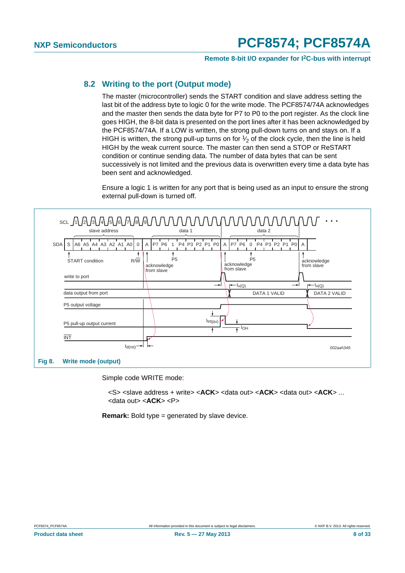**Remote 8-bit I/O expander for I2C-bus with interrupt**

### <span id="page-7-1"></span>**8.2 Writing to the port (Output mode)**

The master (microcontroller) sends the START condition and slave address setting the last bit of the address byte to logic 0 for the write mode. The PCF8574/74A acknowledges and the master then sends the data byte for P7 to P0 to the port register. As the clock line goes HIGH, the 8-bit data is presented on the port lines after it has been acknowledged by the PCF8574/74A. If a LOW is written, the strong pull-down turns on and stays on. If a HIGH is written, the strong pull-up turns on for  $\frac{1}{2}$  of the clock cycle, then the line is held HIGH by the weak current source. The master can then send a STOP or ReSTART condition or continue sending data. The number of data bytes that can be sent successively is not limited and the previous data is overwritten every time a data byte has been sent and acknowledged.

Ensure a logic 1 is written for any port that is being used as an input to ensure the strong external pull-down is turned off.



<span id="page-7-0"></span>Simple code WRITE mode:

<S> <slave address + write> <**ACK**> <data out> <**ACK**> <data out> <**ACK**> ... <data out> <**ACK**> <P>

**Remark:** Bold type = generated by slave device.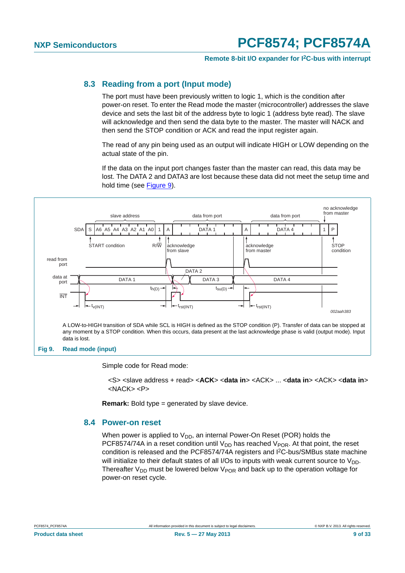#### **Remote 8-bit I/O expander for I2C-bus with interrupt**

#### <span id="page-8-2"></span>**8.3 Reading from a port (Input mode)**

The port must have been previously written to logic 1, which is the condition after power-on reset. To enter the Read mode the master (microcontroller) addresses the slave device and sets the last bit of the address byte to logic 1 (address byte read). The slave will acknowledge and then send the data byte to the master. The master will NACK and then send the STOP condition or ACK and read the input register again.

The read of any pin being used as an output will indicate HIGH or LOW depending on the actual state of the pin.

If the data on the input port changes faster than the master can read, this data may be lost. The DATA 2 and DATA3 are lost because these data did not meet the setup time and hold time (see [Figure 9](#page-8-0)).



#### <span id="page-8-0"></span>**Fig 9. Read mode (input)**

Simple code for Read mode:

<S> <slave address + read> <**ACK**> <**data in**> <ACK> ... <**data in**> <ACK> <**data in**> <NACK> <P>

**Remark:** Bold type = generated by slave device.

#### <span id="page-8-1"></span>**8.4 Power-on reset**

When power is applied to  $V_{DD}$ , an internal Power-On Reset (POR) holds the PCF8574/74A in a reset condition until  $V_{DD}$  has reached  $V_{POR}$ . At that point, the reset condition is released and the PCF8574/74A registers and I2C-bus/SMBus state machine will initialize to their default states of all I/Os to inputs with weak current source to  $V_{DD}$ . Thereafter  $V_{DD}$  must be lowered below  $V_{POR}$  and back up to the operation voltage for power-on reset cycle.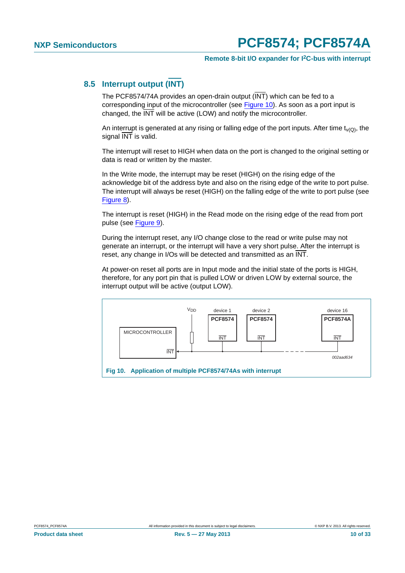### <span id="page-9-1"></span>**8.5 Interrupt output (INT)**

The PCF8574/74A provides an open-drain output (INT) which can be fed to a corresponding input of the microcontroller (see [Figure 10](#page-9-0)). As soon as a port input is changed, the INT will be active (LOW) and notify the microcontroller.

An interrupt is generated at any rising or falling edge of the port inputs. After time  $t_{\nu(Q)}$ , the signal  $\overline{\text{INT}}$  is valid.

The interrupt will reset to HIGH when data on the port is changed to the original setting or data is read or written by the master.

In the Write mode, the interrupt may be reset (HIGH) on the rising edge of the acknowledge bit of the address byte and also on the rising edge of the write to port pulse. The interrupt will always be reset (HIGH) on the falling edge of the write to port pulse (see [Figure 8\)](#page-7-0).

The interrupt is reset (HIGH) in the Read mode on the rising edge of the read from port pulse (see [Figure 9\)](#page-8-0).

During the interrupt reset, any I/O change close to the read or write pulse may not generate an interrupt, or the interrupt will have a very short pulse. After the interrupt is reset, any change in I/Os will be detected and transmitted as an INT.

At power-on reset all ports are in Input mode and the initial state of the ports is HIGH, therefore, for any port pin that is pulled LOW or driven LOW by external source, the interrupt output will be active (output LOW).

<span id="page-9-0"></span>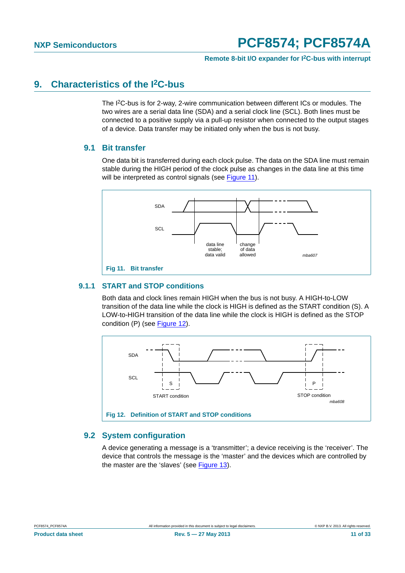## <span id="page-10-2"></span>**9. Characteristics of the I2C-bus**

The I2C-bus is for 2-way, 2-wire communication between different ICs or modules. The two wires are a serial data line (SDA) and a serial clock line (SCL). Both lines must be connected to a positive supply via a pull-up resistor when connected to the output stages of a device. Data transfer may be initiated only when the bus is not busy.

#### <span id="page-10-3"></span>**9.1 Bit transfer**

One data bit is transferred during each clock pulse. The data on the SDA line must remain stable during the HIGH period of the clock pulse as changes in the data line at this time will be interpreted as control signals (see [Figure 11\)](#page-10-0).



#### <span id="page-10-4"></span><span id="page-10-0"></span>**9.1.1 START and STOP conditions**

Both data and clock lines remain HIGH when the bus is not busy. A HIGH-to-LOW transition of the data line while the clock is HIGH is defined as the START condition (S). A LOW-to-HIGH transition of the data line while the clock is HIGH is defined as the STOP condition (P) (see [Figure 12](#page-10-1)).



#### <span id="page-10-5"></span><span id="page-10-1"></span>**9.2 System configuration**

A device generating a message is a 'transmitter'; a device receiving is the 'receiver'. The device that controls the message is the 'master' and the devices which are controlled by the master are the 'slaves' (see [Figure 13\)](#page-11-0).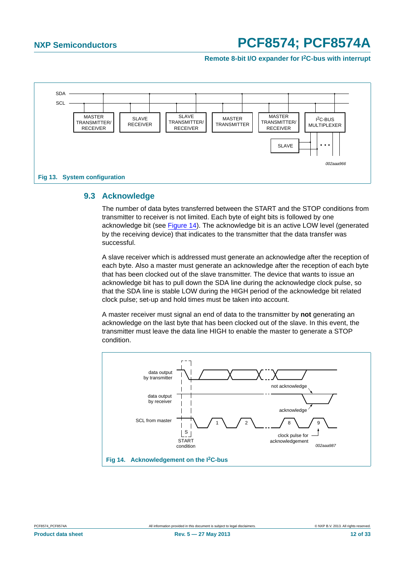**Remote 8-bit I/O expander for I2C-bus with interrupt**



#### <span id="page-11-2"></span><span id="page-11-0"></span>**9.3 Acknowledge**

The number of data bytes transferred between the START and the STOP conditions from transmitter to receiver is not limited. Each byte of eight bits is followed by one acknowledge bit (see [Figure 14\)](#page-11-1). The acknowledge bit is an active LOW level (generated by the receiving device) that indicates to the transmitter that the data transfer was successful.

A slave receiver which is addressed must generate an acknowledge after the reception of each byte. Also a master must generate an acknowledge after the reception of each byte that has been clocked out of the slave transmitter. The device that wants to issue an acknowledge bit has to pull down the SDA line during the acknowledge clock pulse, so that the SDA line is stable LOW during the HIGH period of the acknowledge bit related clock pulse; set-up and hold times must be taken into account.

A master receiver must signal an end of data to the transmitter by **not** generating an acknowledge on the last byte that has been clocked out of the slave. In this event, the transmitter must leave the data line HIGH to enable the master to generate a STOP condition.



<span id="page-11-1"></span>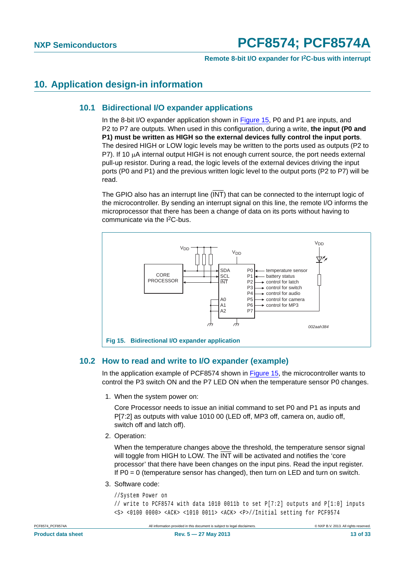### <span id="page-12-2"></span><span id="page-12-1"></span>**10. Application design-in information**

#### **10.1 Bidirectional I/O expander applications**

In the 8-bit I/O expander application shown in [Figure 15,](#page-12-0) P0 and P1 are inputs, and P2 to P7 are outputs. When used in this configuration, during a write, **the input (P0 and P1) must be written as HIGH so the external devices fully control the input ports**. The desired HIGH or LOW logic levels may be written to the ports used as outputs (P2 to P7). If 10  $\mu$ A internal output HIGH is not enough current source, the port needs external pull-up resistor. During a read, the logic levels of the external devices driving the input ports (P0 and P1) and the previous written logic level to the output ports (P2 to P7) will be read.

The GPIO also has an interrupt line (INT) that can be connected to the interrupt logic of the microcontroller. By sending an interrupt signal on this line, the remote I/O informs the microprocessor that there has been a change of data on its ports without having to communicate via the I2C-bus.



#### <span id="page-12-3"></span><span id="page-12-0"></span>**10.2 How to read and write to I/O expander (example)**

In the application example of PCF8574 shown in [Figure 15,](#page-12-0) the microcontroller wants to control the P3 switch ON and the P7 LED ON when the temperature sensor P0 changes.

1. When the system power on:

Core Processor needs to issue an initial command to set P0 and P1 as inputs and P[7:2] as outputs with value 1010 00 (LED off, MP3 off, camera on, audio off, switch off and latch off).

2. Operation:

When the temperature changes above the threshold, the temperature sensor signal will toggle from HIGH to LOW. The INT will be activated and notifies the 'core processor' that there have been changes on the input pins. Read the input register. If  $P0 = 0$  (temperature sensor has changed), then turn on LED and turn on switch.

3. Software code:

//System Power on // write to PCF8574 with data 1010 0011b to set P[7:2] outputs and P[1:0] inputs <S> <0100 0000> <ACK> <1010 0011> <ACK> <P>//Initial setting for PCF9574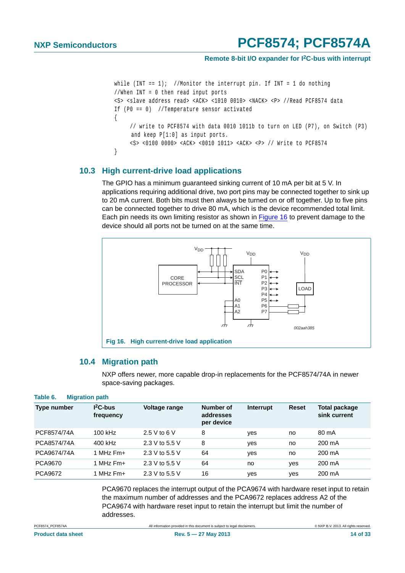#### **Remote 8-bit I/O expander for I2C-bus with interrupt**

```
while (INT == 1); //Monitor the interrupt pin. If INT = 1 do nothing
//When INT = 0 then read input ports
<S> <slave address read> <ACK> <1010 0010> <NACK> <P> //Read PCF8574 data
If (P0 == 0) //Temperature sensor activated
{
     // write to PCF8574 with data 0010 1011b to turn on LED (P7), on Switch (P3) 
     and keep P[1:0] as input ports.
     <S> <0100 0000> <ACK> <0010 1011> <ACK> <P> // Write to PCF8574
}
```
#### <span id="page-13-1"></span>**10.3 High current-drive load applications**

The GPIO has a minimum guaranteed sinking current of 10 mA per bit at 5 V. In applications requiring additional drive, two port pins may be connected together to sink up to 20 mA current. Both bits must then always be turned on or off together. Up to five pins can be connected together to drive 80 mA, which is the device recommended total limit. Each pin needs its own limiting resistor as shown in [Figure 16](#page-13-0) to prevent damage to the device should all ports not be turned on at the same time.



#### <span id="page-13-0"></span>**10.4 Migration path**

NXP offers newer, more capable drop-in replacements for the PCF8574/74A in newer space-saving packages.

#### <span id="page-13-2"></span>**Table 6. Migration path**

| <b>Type number</b> | $12C-bus$<br>frequency | Voltage range  | Number of<br>addresses<br>per device | Interrupt | <b>Reset</b> | Total package<br>sink current |
|--------------------|------------------------|----------------|--------------------------------------|-----------|--------------|-------------------------------|
| PCF8574/74A        | 100 kHz                | 2.5 V to 6 V   | 8                                    | yes       | no           | 80 mA                         |
| PCA8574/74A        | 400 kHz                | 2.3 V to 5.5 V | 8                                    | yes       | no           | 200 mA                        |
| PCA9674/74A        | 1 MHz $Fm+$            | 2.3 V to 5.5 V | 64                                   | yes       | no           | 200 mA                        |
| PCA9670            | 1 MHz $Fm+$            | 2.3 V to 5.5 V | 64                                   | no        | yes          | 200 mA                        |
| PCA9672            | 1 MHz Fm+              | 2.3 V to 5.5 V | 16                                   | yes       | yes          | 200 mA                        |

PCA9670 replaces the interrupt output of the PCA9674 with hardware reset input to retain the maximum number of addresses and the PCA9672 replaces address A2 of the PCA9674 with hardware reset input to retain the interrupt but limit the number of addresses.

PCF8574\_PCF8574A All information provided in this document is subject to legal disclaimers. © NXP B.V. 2013. All rights reserved.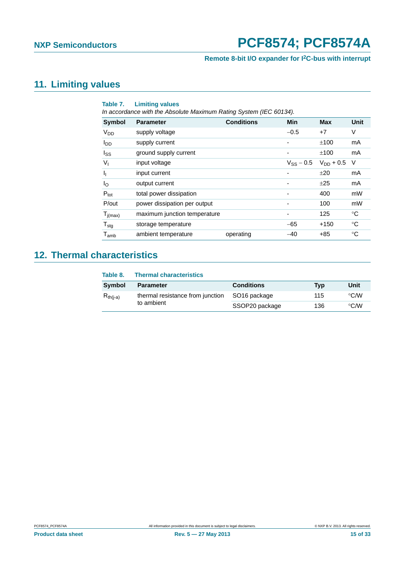### **Remote 8-bit I/O expander for I2C-bus with interrupt**

## <span id="page-14-2"></span>**11. Limiting values**

<span id="page-14-1"></span>

| Table 7.                    | <b>Limiting values</b><br>In accordance with the Absolute Maximum Rating System (IEC 60134). |                   |                |                |             |  |  |  |  |  |
|-----------------------------|----------------------------------------------------------------------------------------------|-------------------|----------------|----------------|-------------|--|--|--|--|--|
| <b>Symbol</b>               | <b>Parameter</b>                                                                             | <b>Conditions</b> | Min            | <b>Max</b>     | <b>Unit</b> |  |  |  |  |  |
| <b>V<sub>DD</sub></b>       | supply voltage                                                                               |                   | $-0.5$         | $+7$           | V           |  |  |  |  |  |
| <b>I</b> <sub>DD</sub>      | supply current                                                                               |                   |                | ±100           | mA          |  |  |  |  |  |
| $I_{SS}$                    | ground supply current                                                                        |                   |                | ±100           | mA          |  |  |  |  |  |
| $V_{I}$                     | input voltage                                                                                |                   | $V_{SS}$ – 0.5 | $V_{DD} + 0.5$ | - V         |  |  |  |  |  |
| $\mathbf{I}_{\mathbf{I}}$   | input current                                                                                |                   |                | ±20            | mA          |  |  |  |  |  |
| $I_{\rm O}$                 | output current                                                                               |                   |                | ±25            | mA          |  |  |  |  |  |
| $P_{\text{tot}}$            | total power dissipation                                                                      |                   |                | 400            | mW          |  |  |  |  |  |
| P/out                       | power dissipation per output                                                                 |                   |                | 100            | mW          |  |  |  |  |  |
| $T_{j(max)}$                | maximum junction temperature                                                                 |                   |                | 125            | °C          |  |  |  |  |  |
| $T_{\text{stg}}$            | storage temperature                                                                          |                   | $-65$          | +150           | $^{\circ}C$ |  |  |  |  |  |
| $\mathsf{T}_{\mathsf{amb}}$ | ambient temperature                                                                          | operating         | $-40$          | +85            | $^{\circ}C$ |  |  |  |  |  |

## <span id="page-14-0"></span>**12. Thermal characteristics**

| Table 8.      | <b>Thermal characteristics</b>   |                          |     |                    |  |  |  |  |  |
|---------------|----------------------------------|--------------------------|-----|--------------------|--|--|--|--|--|
| Symbol        | <b>Parameter</b>                 | <b>Conditions</b>        | Typ | Unit               |  |  |  |  |  |
| $R_{th(i-a)}$ | thermal resistance from junction | SO <sub>16</sub> package | 115 | $\rm ^{\circ}$ C/W |  |  |  |  |  |
|               | to ambient                       | SSOP20 package           | 136 | $\rm ^{\circ}$ C/W |  |  |  |  |  |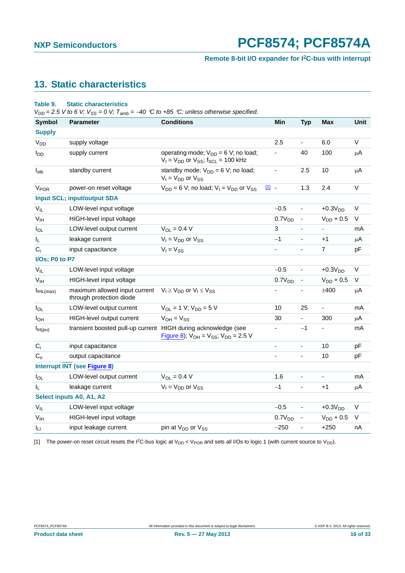#### **Remote 8-bit I/O expander for I2C-bus with interrupt**

## <span id="page-15-2"></span>**13. Static characteristics**

#### <span id="page-15-1"></span>**Table 9. Static characteristics**

 $V_{DD} = 2.5$  V to 6 V;  $V_{SS} = 0$  V;  $T_{amb} = -40$  °C to +85 °C; unless otherwise specified.

| <b>Symbol</b>          | <b>Parameter</b>                                               | <b>Conditions</b>                                                                                    |                | Min                | <b>Typ</b>                   | Max                      | Unit    |
|------------------------|----------------------------------------------------------------|------------------------------------------------------------------------------------------------------|----------------|--------------------|------------------------------|--------------------------|---------|
| <b>Supply</b>          |                                                                |                                                                                                      |                |                    |                              |                          |         |
| <b>V<sub>DD</sub></b>  | supply voltage                                                 |                                                                                                      |                | 2.5                | $\blacksquare$               | 6.0                      | $\vee$  |
| <b>I</b> <sub>DD</sub> | supply current                                                 | operating mode; $V_{DD} = 6 V$ ; no load;<br>$V_1 = V_{DD}$ or $V_{SS}$ ; f <sub>SCL</sub> = 100 kHz |                |                    | 40                           | 100                      | μA      |
| $I_{\text{stb}}$       | standby current                                                | standby mode; $V_{DD} = 6 V$ ; no load;<br>$V_I = V_{DD}$ or $V_{SS}$                                | ÷,             |                    | 2.5                          | 10                       | μA      |
| <b>V<sub>POR</sub></b> | power-on reset voltage                                         | $V_{DD}$ = 6 V; no load; $V_1 = V_{DD}$ or $V_{SS}$                                                  | $11 -$         |                    | 1.3                          | 2.4                      | V       |
|                        | <b>Input SCL; input/output SDA</b>                             |                                                                                                      |                |                    |                              |                          |         |
| $V_{IL}$               | LOW-level input voltage                                        |                                                                                                      |                | $-0.5$             | ä,                           | $+0.3VDD$                | $\vee$  |
| V <sub>IH</sub>        | HIGH-level input voltage                                       |                                                                                                      |                | 0.7V <sub>DD</sub> | $\overline{\phantom{a}}$     | $V_{DD}$ + 0.5           | V       |
| $I_{OL}$               | LOW-level output current                                       | $V_{OL} = 0.4 V$                                                                                     | 3              |                    | $\blacksquare$               | $\overline{\phantom{0}}$ | mA      |
| IL.                    | leakage current                                                | $V_1 = V_{DD}$ or $V_{SS}$                                                                           |                | $-1$               | $\blacksquare$               | $+1$                     | $\mu$ A |
| $C_i$                  | input capacitance                                              | $V_1 = V_{SS}$                                                                                       | ä,             |                    | ÷,                           | $\overline{7}$           | pF      |
| I/Os; P0 to P7         |                                                                |                                                                                                      |                |                    |                              |                          |         |
| $V_{IL}$               | LOW-level input voltage                                        |                                                                                                      |                | $-0.5$             | $\blacksquare$               | $+0.3VDD$                | V       |
| V <sub>IH</sub>        | HIGH-level input voltage                                       |                                                                                                      |                | 0.7V <sub>DD</sub> | $\overline{\phantom{a}}$     | $V_{DD}$ + 0.5           | $\vee$  |
| I <sub>IHL(max)</sub>  | maximum allowed input current<br>through protection diode      | $V_1 \geq V_{DD}$ or $V_1 \leq V_{SS}$                                                               |                |                    |                              | ±400                     | $\mu$ A |
| $I_{OL}$               | LOW-level output current                                       | $V_{\text{OI}} = 1$ V; $V_{\text{DD}} = 5$ V                                                         |                | 10                 | 25                           | ÷,                       | mA      |
| $I_{OH}$               | HIGH-level output current                                      | $V_{OH} = V_{SS}$                                                                                    |                | 30                 | ÷.                           | 300                      | $\mu$ A |
| $I_{trt(pu)}$          | transient boosted pull-up current HIGH during acknowledge (see | <b>Figure 8)</b> ; $V_{OH} = V_{SS}$ ; $V_{DD} = 2.5$ V                                              |                |                    | $-1$                         |                          | mA      |
| $C_i$                  | input capacitance                                              |                                                                                                      | $\overline{a}$ |                    | ÷,                           | 10                       | pF      |
| $C_{\alpha}$           | output capacitance                                             |                                                                                                      | ÷,             |                    | ÷,                           | 10                       | pF      |
|                        | <b>Interrupt INT (see Figure 8)</b>                            |                                                                                                      |                |                    |                              |                          |         |
| $I_{OL}$               | LOW-level output current                                       | $V_{\Omega I} = 0.4 V$                                                                               |                | 1.6                | $\qquad \qquad \blacksquare$ | $\overline{\phantom{a}}$ | mA      |
| I <sub>L</sub>         | leakage current                                                | $V_1 = V_{DD}$ or $V_{SS}$                                                                           |                | $-1$               | $\overline{a}$               | $+1$                     | μA      |
|                        | Select inputs A0, A1, A2                                       |                                                                                                      |                |                    |                              |                          |         |
| $V_{IL}$               | LOW-level input voltage                                        |                                                                                                      |                | $-0.5$             | ä,                           | $+0.3VDD$                | $\vee$  |
| V <sub>IH</sub>        | HIGH-level input voltage                                       |                                                                                                      |                | 0.7V <sub>DD</sub> | $\overline{\phantom{a}}$     | $V_{DD}$ + 0.5           | $\vee$  |
| $I_{LI}$               | input leakage current                                          | pin at V <sub>DD</sub> or V <sub>SS</sub>                                                            |                | $-250$             | $\overline{a}$               | $+250$                   | nA      |

<span id="page-15-0"></span>[1] The power-on reset circuit resets the I<sup>2</sup>C-bus logic at V<sub>DD</sub> < V<sub>POR</sub> and sets all I/Os to logic 1 (with current source to V<sub>DD</sub>).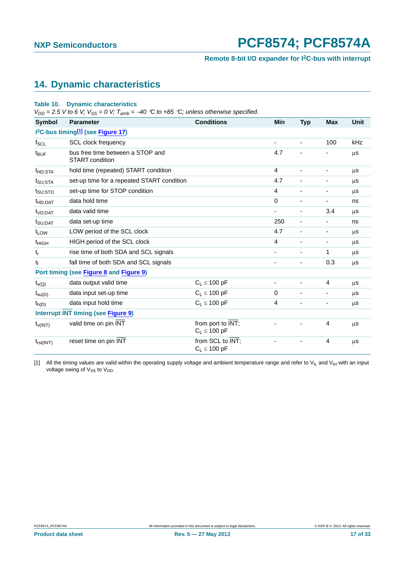#### **Remote 8-bit I/O expander for I2C-bus with interrupt**

### <span id="page-16-2"></span>**14. Dynamic characteristics**

#### <span id="page-16-1"></span>**Table 10. Dynamic characteristics**

 $V_{DD} = 2.5$  V to 6 V;  $V_{SS} = 0$  V;  $T_{amb} = -40$  °C to +85 °C; unless otherwise specified.

| <b>Symbol</b>                                              | <b>Parameter</b>                                           | <b>Conditions</b>                      | Min                      | <b>Typ</b>               | <b>Max</b>               | Unit |  |
|------------------------------------------------------------|------------------------------------------------------------|----------------------------------------|--------------------------|--------------------------|--------------------------|------|--|
| I <sup>2</sup> C-bus timing <sup>[1]</sup> (see Figure 17) |                                                            |                                        |                          |                          |                          |      |  |
| $f_{SCL}$                                                  | <b>SCL clock frequency</b>                                 |                                        | -                        | $\overline{\phantom{a}}$ | 100                      | kHz  |  |
| $t_{\text{BUF}}$                                           | bus free time between a STOP and<br><b>START</b> condition |                                        | 4.7                      |                          |                          | μS   |  |
| $t_{HD;STA}$                                               | hold time (repeated) START condition                       |                                        | 4                        | $\overline{\phantom{a}}$ | ٠                        | μs   |  |
| t <sub>SU;STA</sub>                                        | set-up time for a repeated START condition                 |                                        | 4.7                      | $\overline{\phantom{a}}$ | ۰                        | μS   |  |
| t <sub>SU:STO</sub>                                        | set-up time for STOP condition                             |                                        | 4                        | $\blacksquare$           | $\overline{\phantom{0}}$ | μS   |  |
| <sup>t</sup> HD;DAT                                        | data hold time                                             |                                        | 0                        | $\blacksquare$           | $\blacksquare$           | ns   |  |
| t <sub>VD:DAT</sub>                                        | data valid time                                            |                                        | -                        | -                        | 3.4                      | μS   |  |
| t <sub>SU;DAT</sub>                                        | data set-up time                                           |                                        | 250                      | $\overline{\phantom{a}}$ | -                        | ns   |  |
| t <sub>LOW</sub>                                           | LOW period of the SCL clock                                |                                        | 4.7                      | $\overline{\phantom{a}}$ | ۰                        | μs   |  |
| $t_{HIGH}$                                                 | HIGH period of the SCL clock                               |                                        |                          | $\blacksquare$           | $\overline{\phantom{0}}$ | μs   |  |
| $t_r$                                                      | rise time of both SDA and SCL signals                      |                                        |                          | ٠                        | 1                        | μS   |  |
| $t_f$                                                      | fall time of both SDA and SCL signals                      |                                        |                          | -                        | 0.3                      | μs   |  |
|                                                            | Port timing (see Figure 8 and Figure 9)                    |                                        |                          |                          |                          |      |  |
| $t_{\nu(Q)}$                                               | data output valid time                                     | $C_1 \leq 100$ pF                      | $\overline{\phantom{a}}$ | $\blacksquare$           | $\overline{4}$           | μS   |  |
| $t_{\text{SU}(D)}$                                         | data input set-up time                                     | $C_1 \leq 100$ pF                      | 0                        | ٠                        |                          | μs   |  |
| $t_{h(D)}$                                                 | data input hold time                                       | $C_1 \leq 100$ pF                      | 4                        |                          |                          | μS   |  |
| <b>Interrupt INT timing (see Figure 9)</b>                 |                                                            |                                        |                          |                          |                          |      |  |
| $t_{V(INT)}$                                               | valid time on pin INT                                      | from port to INT;<br>$C_1 \leq 100$ pF |                          |                          | $\overline{4}$           | μS   |  |
| $t_{rst(INT)}$                                             | reset time on pin INT                                      | from SCL to INT;<br>$C_L \leq 100$ pF  |                          |                          | $\overline{4}$           | μs   |  |

<span id="page-16-0"></span>[1] All the timing values are valid within the operating supply voltage and ambient temperature range and refer to V<sub>IL</sub> and V<sub>IH</sub> with an input voltage swing of  $V_{SS}$  to  $V_{DD}$ .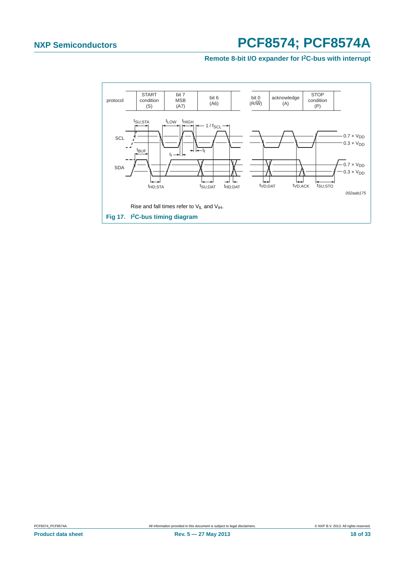#### **Remote 8-bit I/O expander for I2C-bus with interrupt**

<span id="page-17-0"></span>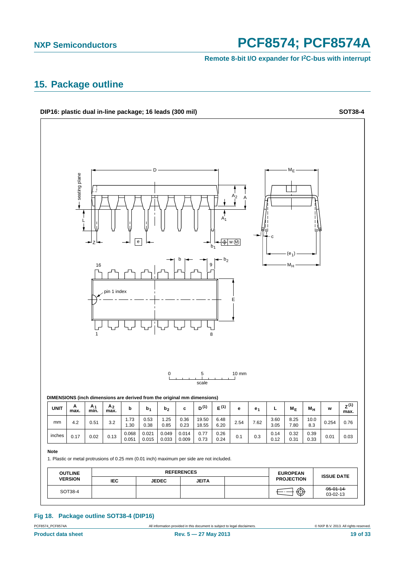**Remote 8-bit I/O expander for I2C-bus with interrupt**

### <span id="page-18-0"></span>**15. Package outline**



#### **Fig 18. Package outline SOT38-4 (DIP16)**

PCF8574\_PCF8574A All information provided in this document is subject to legal disclaimers. © NXP B.V. 2013. All rights reserved.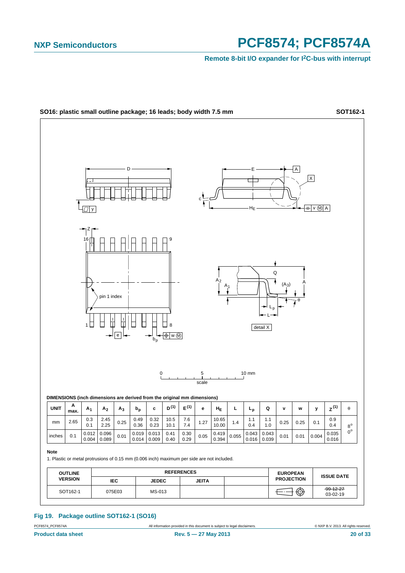**Remote 8-bit I/O expander for I2C-bus with interrupt**



**Fig 19. Package outline SOT162-1 (SO16)**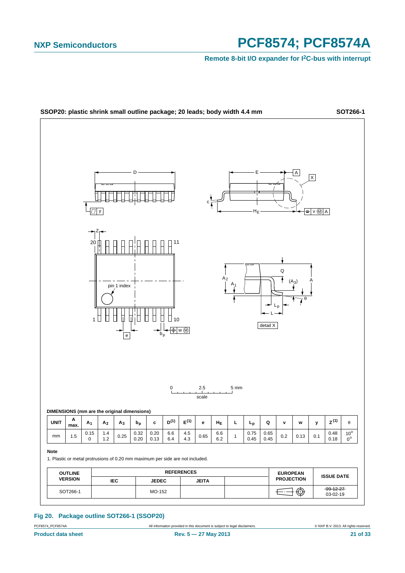**Remote 8-bit I/O expander for I2C-bus with interrupt**



#### **Fig 20. Package outline SOT266-1 (SSOP20)**

PCF8574\_PCF8574A **All information provided in this document is subject to legal disclaimers.** © NXP B.V. 2013. All rights reserved.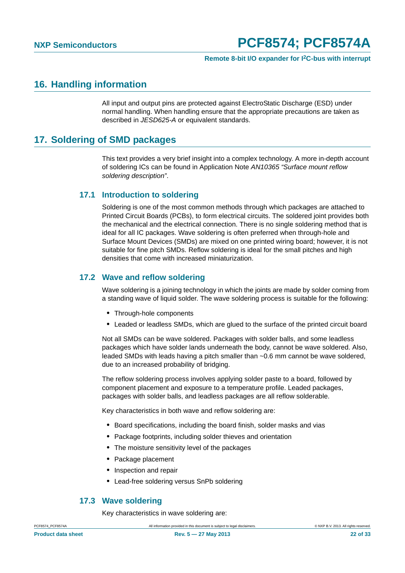### <span id="page-21-0"></span>**16. Handling information**

All input and output pins are protected against ElectroStatic Discharge (ESD) under normal handling. When handling ensure that the appropriate precautions are taken as described in *JESD625-A* or equivalent standards.

### <span id="page-21-1"></span>**17. Soldering of SMD packages**

This text provides a very brief insight into a complex technology. A more in-depth account of soldering ICs can be found in Application Note *AN10365 "Surface mount reflow soldering description"*.

#### <span id="page-21-2"></span>**17.1 Introduction to soldering**

Soldering is one of the most common methods through which packages are attached to Printed Circuit Boards (PCBs), to form electrical circuits. The soldered joint provides both the mechanical and the electrical connection. There is no single soldering method that is ideal for all IC packages. Wave soldering is often preferred when through-hole and Surface Mount Devices (SMDs) are mixed on one printed wiring board; however, it is not suitable for fine pitch SMDs. Reflow soldering is ideal for the small pitches and high densities that come with increased miniaturization.

#### <span id="page-21-3"></span>**17.2 Wave and reflow soldering**

Wave soldering is a joining technology in which the joints are made by solder coming from a standing wave of liquid solder. The wave soldering process is suitable for the following:

- **•** Through-hole components
- **•** Leaded or leadless SMDs, which are glued to the surface of the printed circuit board

Not all SMDs can be wave soldered. Packages with solder balls, and some leadless packages which have solder lands underneath the body, cannot be wave soldered. Also, leaded SMDs with leads having a pitch smaller than ~0.6 mm cannot be wave soldered, due to an increased probability of bridging.

The reflow soldering process involves applying solder paste to a board, followed by component placement and exposure to a temperature profile. Leaded packages, packages with solder balls, and leadless packages are all reflow solderable.

Key characteristics in both wave and reflow soldering are:

- **•** Board specifications, including the board finish, solder masks and vias
- **•** Package footprints, including solder thieves and orientation
- **•** The moisture sensitivity level of the packages
- **•** Package placement
- **•** Inspection and repair
- **•** Lead-free soldering versus SnPb soldering

#### **17.3 Wave soldering**

Key characteristics in wave soldering are:

<span id="page-21-4"></span>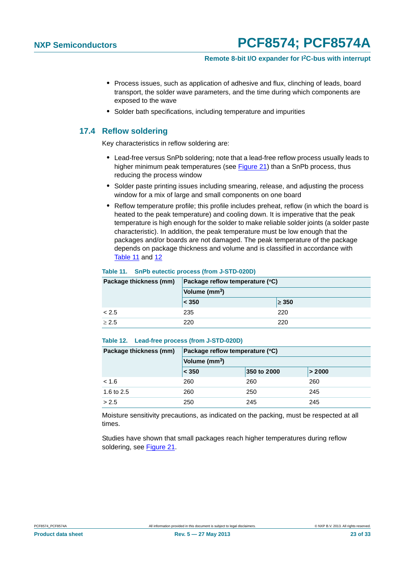#### **Remote 8-bit I/O expander for I2C-bus with interrupt**

- **•** Process issues, such as application of adhesive and flux, clinching of leads, board transport, the solder wave parameters, and the time during which components are exposed to the wave
- **•** Solder bath specifications, including temperature and impurities

#### <span id="page-22-2"></span>**17.4 Reflow soldering**

Key characteristics in reflow soldering are:

- **•** Lead-free versus SnPb soldering; note that a lead-free reflow process usually leads to higher minimum peak temperatures (see [Figure 21\)](#page-23-0) than a SnPb process, thus reducing the process window
- **•** Solder paste printing issues including smearing, release, and adjusting the process window for a mix of large and small components on one board
- **•** Reflow temperature profile; this profile includes preheat, reflow (in which the board is heated to the peak temperature) and cooling down. It is imperative that the peak temperature is high enough for the solder to make reliable solder joints (a solder paste characteristic). In addition, the peak temperature must be low enough that the packages and/or boards are not damaged. The peak temperature of the package depends on package thickness and volume and is classified in accordance with [Table 11](#page-22-0) and [12](#page-22-1)

#### <span id="page-22-0"></span>**Table 11. SnPb eutectic process (from J-STD-020D)**

| Package thickness (mm) | Package reflow temperature (°C)<br>Volume (mm <sup>3</sup> ) |            |  |
|------------------------|--------------------------------------------------------------|------------|--|
|                        |                                                              |            |  |
|                        | $ $ < 350                                                    | $\geq 350$ |  |
| < 2.5                  | 235                                                          | 220        |  |
| $\geq 2.5$             | 220                                                          | 220        |  |

#### <span id="page-22-1"></span>**Table 12. Lead-free process (from J-STD-020D)**

| Package thickness (mm) | Package reflow temperature (°C) |             |        |  |
|------------------------|---------------------------------|-------------|--------|--|
|                        | Volume (mm <sup>3</sup> )       |             |        |  |
|                        | < 350                           | 350 to 2000 | > 2000 |  |
| < 1.6                  | 260                             | 260         | 260    |  |
| 1.6 to 2.5             | 260                             | 250         | 245    |  |
| > 2.5                  | 250                             | 245         | 245    |  |

Moisture sensitivity precautions, as indicated on the packing, must be respected at all times.

Studies have shown that small packages reach higher temperatures during reflow soldering, see [Figure 21](#page-23-0).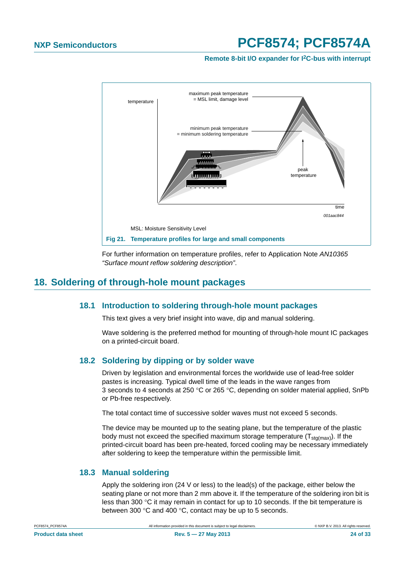**Remote 8-bit I/O expander for I2C-bus with interrupt**



<span id="page-23-0"></span>For further information on temperature profiles, refer to Application Note *AN10365 "Surface mount reflow soldering description"*.

### <span id="page-23-2"></span><span id="page-23-1"></span>**18. Soldering of through-hole mount packages**

#### **18.1 Introduction to soldering through-hole mount packages**

This text gives a very brief insight into wave, dip and manual soldering.

Wave soldering is the preferred method for mounting of through-hole mount IC packages on a printed-circuit board.

#### <span id="page-23-3"></span>**18.2 Soldering by dipping or by solder wave**

Driven by legislation and environmental forces the worldwide use of lead-free solder pastes is increasing. Typical dwell time of the leads in the wave ranges from 3 seconds to 4 seconds at 250 °C or 265 °C, depending on solder material applied, SnPb or Pb-free respectively.

The total contact time of successive solder waves must not exceed 5 seconds.

The device may be mounted up to the seating plane, but the temperature of the plastic body must not exceed the specified maximum storage temperature  $(T_{\text{std(max)}})$ . If the printed-circuit board has been pre-heated, forced cooling may be necessary immediately after soldering to keep the temperature within the permissible limit.

#### <span id="page-23-4"></span>**18.3 Manual soldering**

Apply the soldering iron (24 V or less) to the lead(s) of the package, either below the seating plane or not more than 2 mm above it. If the temperature of the soldering iron bit is less than 300  $\degree$ C it may remain in contact for up to 10 seconds. If the bit temperature is between 300  $\degree$ C and 400  $\degree$ C, contact may be up to 5 seconds.

**Product data sheet Rev. 5 — 27 May 2013 24 of 33**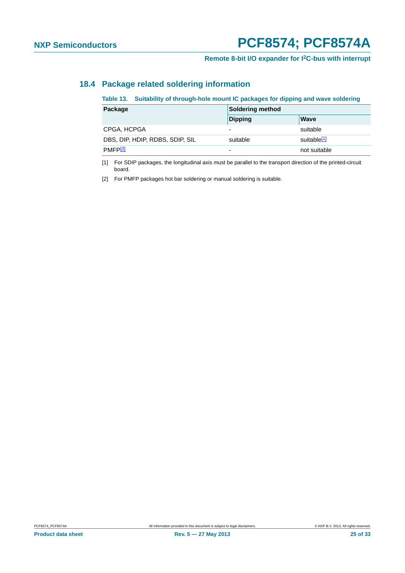### <span id="page-24-2"></span>**18.4 Package related soldering information**

#### **Table 13. Suitability of through-hole mount IC packages for dipping and wave soldering**

| Package                         | Soldering method         |                         |  |
|---------------------------------|--------------------------|-------------------------|--|
|                                 | Dipping                  | <b>Wave</b>             |  |
| CPGA, HCPGA                     | $\overline{\phantom{0}}$ | suitable                |  |
| DBS, DIP, HDIP, RDBS, SDIP, SIL | suitable                 | suitable <sup>[1]</sup> |  |
| PMFP[2]                         | $\overline{\phantom{0}}$ | not suitable            |  |

<span id="page-24-0"></span>[1] For SDIP packages, the longitudinal axis must be parallel to the transport direction of the printed-circuit board.

<span id="page-24-1"></span>[2] For PMFP packages hot bar soldering or manual soldering is suitable.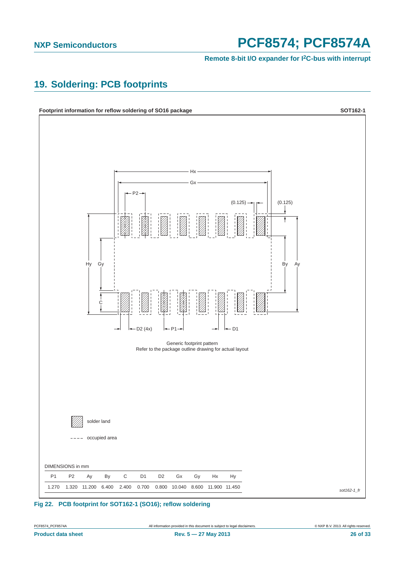**Remote 8-bit I/O expander for I2C-bus with interrupt**

### <span id="page-25-0"></span>**19. Soldering: PCB footprints**





**Product data sheet Rev. 5 — 27 May 2013 26 of 33**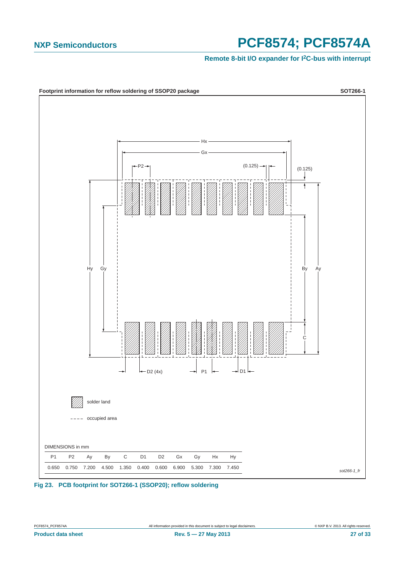#### **Remote 8-bit I/O expander for I2C-bus with interrupt**



**Fig 23. PCB footprint for SOT266-1 (SSOP20); reflow soldering**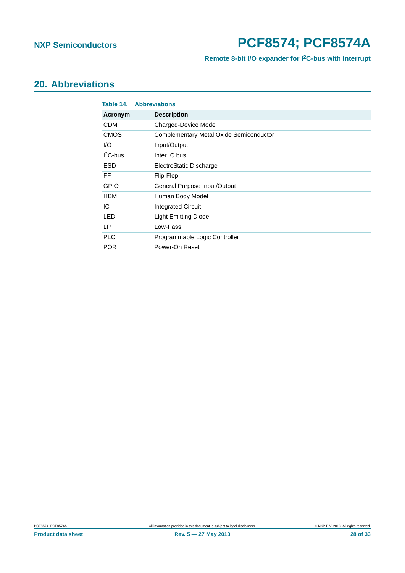### **Remote 8-bit I/O expander for I2C-bus with interrupt**

## <span id="page-27-0"></span>**20. Abbreviations**

| Table 14.   | <b>Abbreviations</b>                    |
|-------------|-----------------------------------------|
| Acronym     | <b>Description</b>                      |
| <b>CDM</b>  | <b>Charged-Device Model</b>             |
| <b>CMOS</b> | Complementary Metal Oxide Semiconductor |
| 1/O         | Input/Output                            |
| $I2C-bus$   | Inter IC bus                            |
| <b>ESD</b>  | ElectroStatic Discharge                 |
| FF          | Flip-Flop                               |
| <b>GPIO</b> | General Purpose Input/Output            |
| <b>HBM</b>  | Human Body Model                        |
| IC          | <b>Integrated Circuit</b>               |
| <b>LED</b>  | <b>Light Emitting Diode</b>             |
| LP.         | Low-Pass                                |
| <b>PLC</b>  | Programmable Logic Controller           |
| <b>POR</b>  | Power-On Reset                          |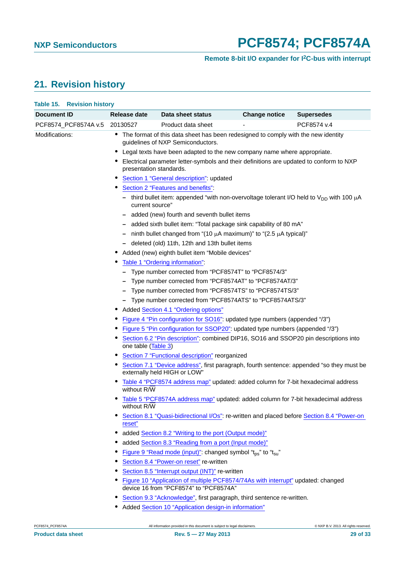## <span id="page-28-0"></span>**21. Revision history**

|                | Table 15. Revision history |                                                             |                                                                                                                            |                      |                                                                                            |  |  |
|----------------|----------------------------|-------------------------------------------------------------|----------------------------------------------------------------------------------------------------------------------------|----------------------|--------------------------------------------------------------------------------------------|--|--|
| Document ID    |                            | Release date                                                | Data sheet status                                                                                                          | <b>Change notice</b> | <b>Supersedes</b>                                                                          |  |  |
|                | PCF8574_PCF8574A v.5       | 20130527                                                    | Product data sheet                                                                                                         |                      | PCF8574 v.4                                                                                |  |  |
| Modifications: |                            |                                                             | • The format of this data sheet has been redesigned to comply with the new identity<br>guidelines of NXP Semiconductors.   |                      |                                                                                            |  |  |
|                |                            |                                                             | Legal texts have been adapted to the new company name where appropriate.                                                   |                      |                                                                                            |  |  |
|                |                            | presentation standards.                                     | Electrical parameter letter-symbols and their definitions are updated to conform to NXP                                    |                      |                                                                                            |  |  |
|                |                            |                                                             | Section 1 "General description": updated                                                                                   |                      |                                                                                            |  |  |
|                |                            |                                                             | Section 2 "Features and benefits":                                                                                         |                      |                                                                                            |  |  |
|                |                            | current source"                                             | - third bullet item: appended "with non-overvoltage tolerant I/O held to $V_{DD}$ with 100 $\mu$ A                         |                      |                                                                                            |  |  |
|                |                            |                                                             | - added (new) fourth and seventh bullet items                                                                              |                      |                                                                                            |  |  |
|                |                            |                                                             | - added sixth bullet item: "Total package sink capability of 80 mA"                                                        |                      |                                                                                            |  |  |
|                |                            |                                                             | - ninth bullet changed from "(10 $\mu$ A maximum)" to "(2.5 $\mu$ A typical)"                                              |                      |                                                                                            |  |  |
|                |                            |                                                             | - deleted (old) 11th, 12th and 13th bullet items                                                                           |                      |                                                                                            |  |  |
|                |                            |                                                             | Added (new) eighth bullet item "Mobile devices"                                                                            |                      |                                                                                            |  |  |
|                |                            |                                                             | Table 1 "Ordering information":                                                                                            |                      |                                                                                            |  |  |
|                |                            |                                                             | Type number corrected from "PCF8574T" to "PCF8574/3"                                                                       |                      |                                                                                            |  |  |
|                |                            |                                                             | Type number corrected from "PCF8574AT" to "PCF8574AT/3"                                                                    |                      |                                                                                            |  |  |
|                |                            |                                                             | Type number corrected from "PCF8574TS" to "PCF8574TS/3"                                                                    |                      |                                                                                            |  |  |
|                |                            |                                                             | - Type number corrected from "PCF8574ATS" to "PCF8574ATS/3"                                                                |                      |                                                                                            |  |  |
|                |                            | Added Section 4.1 "Ordering options"<br>∙                   |                                                                                                                            |                      |                                                                                            |  |  |
|                |                            | $\bullet$                                                   | Figure 4 "Pin configuration for SO16": updated type numbers (appended "/3")                                                |                      |                                                                                            |  |  |
|                |                            | $\bullet$                                                   | Figure 5 "Pin configuration for SSOP20": updated type numbers (appended "/3")                                              |                      |                                                                                            |  |  |
|                |                            | one table (Table 3)                                         | Section 6.2 "Pin description": combined DIP16, SO16 and SSOP20 pin descriptions into                                       |                      |                                                                                            |  |  |
|                |                            |                                                             | Section 7 "Functional description" reorganized                                                                             |                      |                                                                                            |  |  |
|                |                            | $\bullet$                                                   | externally held HIGH or LOW"                                                                                               |                      | Section 7.1 "Device address", first paragraph, fourth sentence: appended "so they must be  |  |  |
|                |                            | without R/W                                                 | Table 4 "PCF8574 address map" updated: added column for 7-bit hexadecimal address                                          |                      |                                                                                            |  |  |
|                |                            | without R/W                                                 | Table 5 "PCF8574A address map" updated: added column for 7-bit hexadecimal address                                         |                      |                                                                                            |  |  |
|                |                            | reset"                                                      |                                                                                                                            |                      | Section 8.1 "Quasi-bidirectional I/Os": re-written and placed before Section 8.4 "Power-on |  |  |
|                |                            |                                                             | added Section 8.2 "Writing to the port (Output mode)"                                                                      |                      |                                                                                            |  |  |
|                |                            |                                                             | added Section 8.3 "Reading from a port (Input mode)"                                                                       |                      |                                                                                            |  |  |
|                |                            | Figure 9 "Read mode (input)": changed symbol "tps" to "tsu" |                                                                                                                            |                      |                                                                                            |  |  |
|                |                            | Section 8.4 "Power-on reset" re-written                     |                                                                                                                            |                      |                                                                                            |  |  |
|                |                            |                                                             | Section 8.5 "Interrupt output (INT)" re-written                                                                            |                      |                                                                                            |  |  |
|                |                            |                                                             | Figure 10 "Application of multiple PCF8574/74As with interrupt" updated: changed<br>device 16 from "PCF8574" to "PCF8574A" |                      |                                                                                            |  |  |
|                |                            | ∙                                                           | Section 9.3 "Acknowledge", first paragraph, third sentence re-written.                                                     |                      |                                                                                            |  |  |

**•** Added [Section 10 "Application design-in information"](#page-12-1)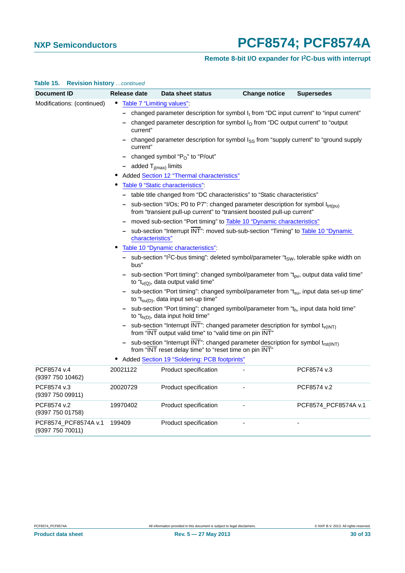### **Remote 8-bit I/O expander for I2C-bus with interrupt**

| Document ID                     | Release date                                                                                                                                                                                                                                                                                                                                                                                                                                      | Data sheet status                                                                                               | <b>Change notice</b> | <b>Supersedes</b>    |  |
|---------------------------------|---------------------------------------------------------------------------------------------------------------------------------------------------------------------------------------------------------------------------------------------------------------------------------------------------------------------------------------------------------------------------------------------------------------------------------------------------|-----------------------------------------------------------------------------------------------------------------|----------------------|----------------------|--|
| Modifications: (continued)      | Table 7 "Limiting values":                                                                                                                                                                                                                                                                                                                                                                                                                        |                                                                                                                 |                      |                      |  |
|                                 |                                                                                                                                                                                                                                                                                                                                                                                                                                                   | - changed parameter description for symbol $I_1$ from "DC input current" to "input current"                     |                      |                      |  |
|                                 | current"                                                                                                                                                                                                                                                                                                                                                                                                                                          | changed parameter description for symbol $IO$ from "DC output current" to "output                               |                      |                      |  |
|                                 | changed parameter description for symbol $I_{SS}$ from "supply current" to "ground supply<br>current"                                                                                                                                                                                                                                                                                                                                             |                                                                                                                 |                      |                      |  |
|                                 | changed symbol "P <sub>O</sub> " to "P/out"                                                                                                                                                                                                                                                                                                                                                                                                       |                                                                                                                 |                      |                      |  |
|                                 | - added $T_{i(max)}$ limits                                                                                                                                                                                                                                                                                                                                                                                                                       |                                                                                                                 |                      |                      |  |
|                                 |                                                                                                                                                                                                                                                                                                                                                                                                                                                   | Added Section 12 "Thermal characteristics"                                                                      |                      |                      |  |
|                                 |                                                                                                                                                                                                                                                                                                                                                                                                                                                   | Table 9 "Static characteristics":                                                                               |                      |                      |  |
|                                 |                                                                                                                                                                                                                                                                                                                                                                                                                                                   | - table title changed from "DC characteristics" to "Static characteristics"                                     |                      |                      |  |
|                                 | sub-section "I/Os; P0 to P7": changed parameter description for symbol $I_{tr(f)u}$ )<br>from "transient pull-up current" to "transient boosted pull-up current"                                                                                                                                                                                                                                                                                  |                                                                                                                 |                      |                      |  |
|                                 | moved sub-section "Port timing" to Table 10 "Dynamic characteristics"                                                                                                                                                                                                                                                                                                                                                                             |                                                                                                                 |                      |                      |  |
|                                 | sub-section "Interrupt INT": moved sub-sub-section "Timing" to Table 10 "Dynamic<br>characteristics"                                                                                                                                                                                                                                                                                                                                              |                                                                                                                 |                      |                      |  |
|                                 |                                                                                                                                                                                                                                                                                                                                                                                                                                                   | Table 10 "Dynamic characteristics":                                                                             |                      |                      |  |
|                                 | bus"                                                                                                                                                                                                                                                                                                                                                                                                                                              | sub-section "l <sup>2</sup> C-bus timing": deleted symbol/parameter "t <sub>SW</sub> , tolerable spike width on |                      |                      |  |
|                                 | sub-section "Port timing": changed symbol/parameter from " $t_{\text{ov}}$ , output data valid time"<br>to " $t_{\nu(Q)}$ , data output valid time"<br>sub-section "Port timing": changed symbol/parameter from "t <sub>su</sub> , input data set-up time"<br>to " $t_{\text{su}(D)}$ , data input set-up time"<br>sub-section "Port timing": changed symbol/parameter from "th, input data hold time"<br>to " $t_{h(D)}$ , data input hold time" |                                                                                                                 |                      |                      |  |
|                                 |                                                                                                                                                                                                                                                                                                                                                                                                                                                   |                                                                                                                 |                      |                      |  |
|                                 |                                                                                                                                                                                                                                                                                                                                                                                                                                                   |                                                                                                                 |                      |                      |  |
|                                 | - sub-section "Interrupt $\overline{\text{INT}}$ ": changed parameter description for symbol t <sub>v(INT)</sub><br>from "INT output valid time" to "valid time on pin INT"                                                                                                                                                                                                                                                                       |                                                                                                                 |                      |                      |  |
|                                 | sub-section "Interrupt $\overline{\text{INT}}$ ": changed parameter description for symbol t <sub>rst(INT)</sub><br>from "INT reset delay time" to "reset time on pin INT"                                                                                                                                                                                                                                                                        |                                                                                                                 |                      |                      |  |
|                                 |                                                                                                                                                                                                                                                                                                                                                                                                                                                   | • Added Section 19 "Soldering: PCB footprints"                                                                  |                      |                      |  |
| PCF8574 v.4<br>(9397 750 10462) | 20021122                                                                                                                                                                                                                                                                                                                                                                                                                                          | Product specification                                                                                           |                      | PCF8574 v.3          |  |
| PCF8574 v.3<br>(9397 750 09911) | 20020729                                                                                                                                                                                                                                                                                                                                                                                                                                          | Product specification                                                                                           |                      | PCF8574 v.2          |  |
| PCF8574 v.2<br>(9397 750 01758) | 19970402                                                                                                                                                                                                                                                                                                                                                                                                                                          | Product specification                                                                                           |                      | PCF8574_PCF8574A v.1 |  |
| PCF8574_PCF8574A v.1            | 199409                                                                                                                                                                                                                                                                                                                                                                                                                                            | Product specification                                                                                           |                      |                      |  |

#### **Table 15. Revision history** *…continued*

(9397 750 70011)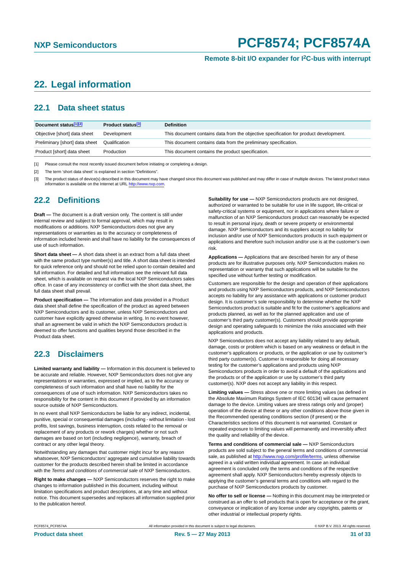### <span id="page-30-3"></span>**22. Legal information**

#### <span id="page-30-4"></span>**22.1 Data sheet status**

| Document status[1][2]          | Product status <sup>[3]</sup> | <b>Definition</b>                                                                     |
|--------------------------------|-------------------------------|---------------------------------------------------------------------------------------|
| Objective [short] data sheet   | Development                   | This document contains data from the objective specification for product development. |
| Preliminary [short] data sheet | Qualification                 | This document contains data from the preliminary specification.                       |
| Product [short] data sheet     | Production                    | This document contains the product specification.                                     |

<span id="page-30-0"></span>[1] Please consult the most recently issued document before initiating or completing a design.

<span id="page-30-1"></span>[2] The term 'short data sheet' is explained in section "Definitions".

<span id="page-30-2"></span>[3] The product status of device(s) described in this document may have changed since this document was published and may differ in case of multiple devices. The latest product status<br>information is available on the Intern

#### <span id="page-30-5"></span>**22.2 Definitions**

**Draft —** The document is a draft version only. The content is still under internal review and subject to formal approval, which may result in modifications or additions. NXP Semiconductors does not give any representations or warranties as to the accuracy or completeness of information included herein and shall have no liability for the consequences of use of such information.

**Short data sheet —** A short data sheet is an extract from a full data sheet with the same product type number(s) and title. A short data sheet is intended for quick reference only and should not be relied upon to contain detailed and full information. For detailed and full information see the relevant full data sheet, which is available on request via the local NXP Semiconductors sales office. In case of any inconsistency or conflict with the short data sheet, the full data sheet shall prevail.

**Product specification —** The information and data provided in a Product data sheet shall define the specification of the product as agreed between NXP Semiconductors and its customer, unless NXP Semiconductors and customer have explicitly agreed otherwise in writing. In no event however, shall an agreement be valid in which the NXP Semiconductors product is deemed to offer functions and qualities beyond those described in the Product data sheet.

#### <span id="page-30-6"></span>**22.3 Disclaimers**

**Limited warranty and liability —** Information in this document is believed to be accurate and reliable. However, NXP Semiconductors does not give any representations or warranties, expressed or implied, as to the accuracy or completeness of such information and shall have no liability for the consequences of use of such information. NXP Semiconductors takes no responsibility for the content in this document if provided by an information source outside of NXP Semiconductors.

In no event shall NXP Semiconductors be liable for any indirect, incidental, punitive, special or consequential damages (including - without limitation - lost profits, lost savings, business interruption, costs related to the removal or replacement of any products or rework charges) whether or not such damages are based on tort (including negligence), warranty, breach of contract or any other legal theory.

Notwithstanding any damages that customer might incur for any reason whatsoever, NXP Semiconductors' aggregate and cumulative liability towards customer for the products described herein shall be limited in accordance with the *Terms and conditions of commercial sale* of NXP Semiconductors.

**Right to make changes —** NXP Semiconductors reserves the right to make changes to information published in this document, including without limitation specifications and product descriptions, at any time and without notice. This document supersedes and replaces all information supplied prior to the publication hereof.

**Suitability for use —** NXP Semiconductors products are not designed, authorized or warranted to be suitable for use in life support, life-critical or safety-critical systems or equipment, nor in applications where failure or malfunction of an NXP Semiconductors product can reasonably be expected to result in personal injury, death or severe property or environmental damage. NXP Semiconductors and its suppliers accept no liability for inclusion and/or use of NXP Semiconductors products in such equipment or applications and therefore such inclusion and/or use is at the customer's own risk.

**Applications —** Applications that are described herein for any of these products are for illustrative purposes only. NXP Semiconductors makes no representation or warranty that such applications will be suitable for the specified use without further testing or modification.

Customers are responsible for the design and operation of their applications and products using NXP Semiconductors products, and NXP Semiconductors accepts no liability for any assistance with applications or customer product design. It is customer's sole responsibility to determine whether the NXP Semiconductors product is suitable and fit for the customer's applications and products planned, as well as for the planned application and use of customer's third party customer(s). Customers should provide appropriate design and operating safeguards to minimize the risks associated with their applications and products.

NXP Semiconductors does not accept any liability related to any default. damage, costs or problem which is based on any weakness or default in the customer's applications or products, or the application or use by customer's third party customer(s). Customer is responsible for doing all necessary testing for the customer's applications and products using NXP Semiconductors products in order to avoid a default of the applications and the products or of the application or use by customer's third party customer(s). NXP does not accept any liability in this respect.

**Limiting values —** Stress above one or more limiting values (as defined in the Absolute Maximum Ratings System of IEC 60134) will cause permanent damage to the device. Limiting values are stress ratings only and (proper) operation of the device at these or any other conditions above those given in the Recommended operating conditions section (if present) or the Characteristics sections of this document is not warranted. Constant or repeated exposure to limiting values will permanently and irreversibly affect the quality and reliability of the device.

**Terms and conditions of commercial sale —** NXP Semiconductors products are sold subject to the general terms and conditions of commercial sale, as published at<http://www.nxp.com/profile/terms>, unless otherwise agreed in a valid written individual agreement. In case an individual agreement is concluded only the terms and conditions of the respective agreement shall apply. NXP Semiconductors hereby expressly objects to applying the customer's general terms and conditions with regard to the purchase of NXP Semiconductors products by customer.

**No offer to sell or license —** Nothing in this document may be interpreted or construed as an offer to sell products that is open for acceptance or the grant, conveyance or implication of any license under any copyrights, patents or other industrial or intellectual property rights.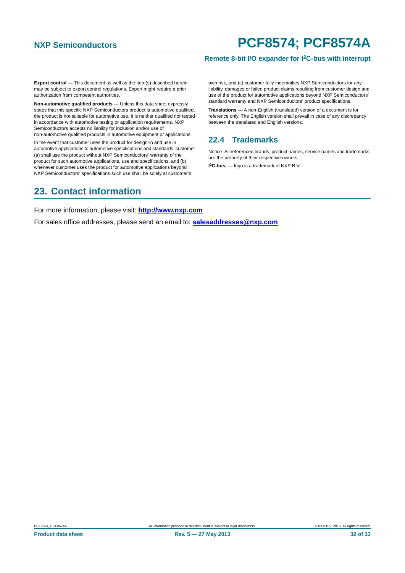#### **Remote 8-bit I/O expander for I2C-bus with interrupt**

**Export control —** This document as well as the item(s) described herein may be subject to export control regulations. Export might require a prior authorization from competent authorities.

**Non-automotive qualified products —** Unless this data sheet expressly states that this specific NXP Semiconductors product is automotive qualified, the product is not suitable for automotive use. It is neither qualified nor tested in accordance with automotive testing or application requirements. NXP Semiconductors accepts no liability for inclusion and/or use of non-automotive qualified products in automotive equipment or applications.

In the event that customer uses the product for design-in and use in automotive applications to automotive specifications and standards, customer (a) shall use the product without NXP Semiconductors' warranty of the product for such automotive applications, use and specifications, and (b) whenever customer uses the product for automotive applications beyond NXP Semiconductors' specifications such use shall be solely at customer's

### <span id="page-31-1"></span>**23. Contact information**

own risk, and (c) customer fully indemnifies NXP Semiconductors for any liability, damages or failed product claims resulting from customer design and use of the product for automotive applications beyond NXP Semiconductors' standard warranty and NXP Semiconductors' product specifications.

**Translations —** A non-English (translated) version of a document is for reference only. The English version shall prevail in case of any discrepancy between the translated and English versions.

### <span id="page-31-0"></span>**22.4 Trademarks**

Notice: All referenced brands, product names, service names and trademarks are the property of their respective owners.

**I 2C-bus —** logo is a trademark of NXP B.V.

For more information, please visit: **http://www.nxp.com**

For sales office addresses, please send an email to: **salesaddresses@nxp.com**